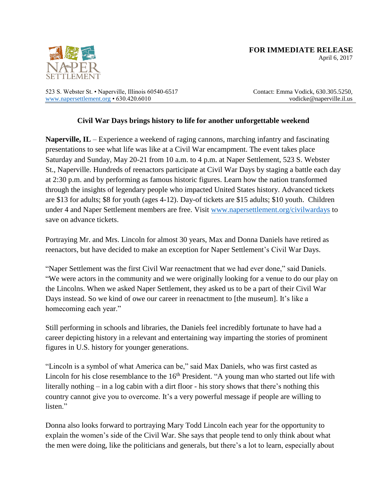

April 6, 2017

523 S. Webster St. • Naperville, Illinois 60540-6517 [www.napersettlement.org](http://www.napersettlement.org/) • 630.420.6010

Contact: Emma Vodick, 630.305.5250, vodicke@naperville.il.us

## **Civil War Days brings history to life for another unforgettable weekend**

**Naperville, IL** – Experience a weekend of raging cannons, marching infantry and fascinating presentations to see what life was like at a Civil War encampment. The event takes place Saturday and Sunday, May 20-21 from 10 a.m. to 4 p.m. at Naper Settlement, 523 S. Webster St., Naperville. Hundreds of reenactors participate at Civil War Days by staging a battle each day at 2:30 p.m. and by performing as famous historic figures. Learn how the nation transformed through the insights of legendary people who impacted United States history. Advanced tickets are \$13 for adults; \$8 for youth (ages 4-12). Day-of tickets are \$15 adults; \$10 youth. Children under 4 and Naper Settlement members are free. Visit [www.napersettlement.org/civilwardays](http://www.napersettlement.org/civilwardays) to save on advance tickets.

Portraying Mr. and Mrs. Lincoln for almost 30 years, Max and Donna Daniels have retired as reenactors, but have decided to make an exception for Naper Settlement's Civil War Days.

"Naper Settlement was the first Civil War reenactment that we had ever done," said Daniels. "We were actors in the community and we were originally looking for a venue to do our play on the Lincolns. When we asked Naper Settlement, they asked us to be a part of their Civil War Days instead. So we kind of owe our career in reenactment to [the museum]. It's like a homecoming each year."

Still performing in schools and libraries, the Daniels feel incredibly fortunate to have had a career depicting history in a relevant and entertaining way imparting the stories of prominent figures in U.S. history for younger generations.

"Lincoln is a symbol of what America can be," said Max Daniels, who was first casted as Lincoln for his close resemblance to the  $16<sup>th</sup>$  President. "A young man who started out life with literally nothing – in a log cabin with a dirt floor - his story shows that there's nothing this country cannot give you to overcome. It's a very powerful message if people are willing to listen."

Donna also looks forward to portraying Mary Todd Lincoln each year for the opportunity to explain the women's side of the Civil War. She says that people tend to only think about what the men were doing, like the politicians and generals, but there's a lot to learn, especially about